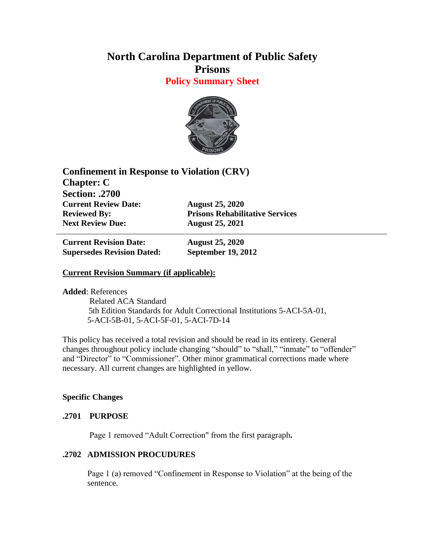# **North Carolina Department of Public Safety Prisons**

**Policy Summary Sheet**



**Confinement in Response to Violation (CRV) Chapter: C Section: .2700 Current Review Date: August 25, 2020 Reviewed By: Prisons Rehabilitative Services Next Review Due: August 25, 2021**

**Current Revision Date: August 25, 2020 Supersedes Revision Dated: September 19, 2012**

# **Current Revision Summary (if applicable):**

**Added**: References

 Related ACA Standard 5th Edition Standards for Adult Correctional Institutions 5-ACI-5A-01, 5-ACI-5B-01, 5-ACI-5F-01, 5-ACI-7D-14

This policy has received a total revision and should be read in its entirety. General changes throughout policy include changing "should" to "shall," "inmate" to "offender" and "Director" to "Commissioner". Other minor grammatical corrections made where necessary. All current changes are highlighted in yellow.

# **Specific Changes**

# **.2701 PURPOSE**

Page 1 removed "Adult Correction" from the first paragraph**.**

# **.2702 ADMISSION PROCUDURES**

Page 1 (a) removed "Confinement in Response to Violation" at the being of the sentence.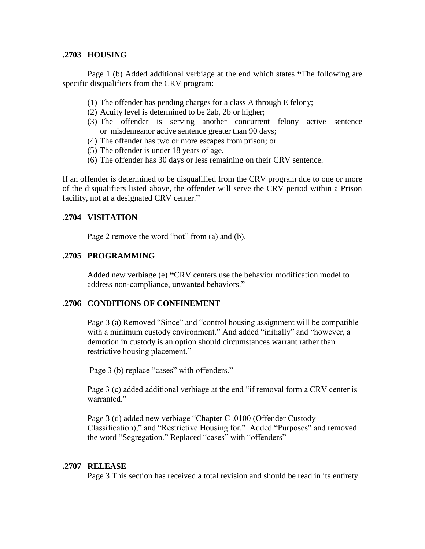#### **.2703 HOUSING**

Page 1 (b) Added additional verbiage at the end which states **"**The following are specific disqualifiers from the CRV program:

- (1) The offender has pending charges for a class A through E felony;
- (2) Acuity level is determined to be 2ab, 2b or higher;
- (3) The offender is serving another concurrent felony active sentence or misdemeanor active sentence greater than 90 days;
- (4) The offender has two or more escapes from prison; or
- (5) The offender is under 18 years of age.
- (6) The offender has 30 days or less remaining on their CRV sentence.

If an offender is determined to be disqualified from the CRV program due to one or more of the disqualifiers listed above, the offender will serve the CRV period within a Prison facility, not at a designated CRV center."

# **.2704 VISITATION**

Page 2 remove the word "not" from (a) and (b).

# **.2705 PROGRAMMING**

Added new verbiage (e) **"**CRV centers use the behavior modification model to address non-compliance, unwanted behaviors."

#### **.2706 CONDITIONS OF CONFINEMENT**

Page 3 (a) Removed "Since" and "control housing assignment will be compatible with a minimum custody environment." And added "initially" and "however, a demotion in custody is an option should circumstances warrant rather than restrictive housing placement."

Page 3 (b) replace "cases" with offenders."

Page 3 (c) added additional verbiage at the end "if removal form a CRV center is warranted."

Page 3 (d) added new verbiage "Chapter C .0100 (Offender Custody Classification)," and "Restrictive Housing for." Added "Purposes" and removed the word "Segregation." Replaced "cases" with "offenders"

#### **.2707 RELEASE**

Page 3 This section has received a total revision and should be read in its entirety.